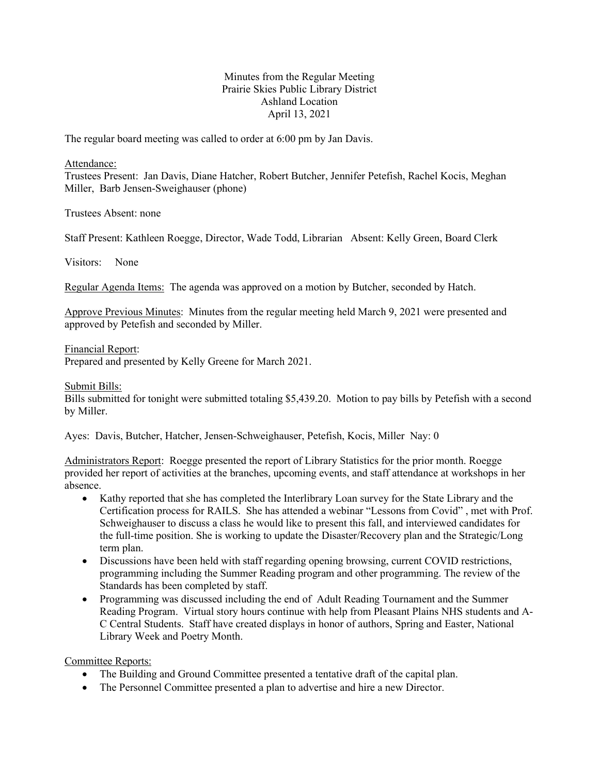## Minutes from the Regular Meeting Prairie Skies Public Library District Ashland Location April 13, 2021

The regular board meeting was called to order at 6:00 pm by Jan Davis.

Attendance:

Trustees Present: Jan Davis, Diane Hatcher, Robert Butcher, Jennifer Petefish, Rachel Kocis, Meghan Miller, Barb Jensen-Sweighauser (phone)

Trustees Absent: none

Staff Present: Kathleen Roegge, Director, Wade Todd, Librarian Absent: Kelly Green, Board Clerk

Visitors: None

Regular Agenda Items: The agenda was approved on a motion by Butcher, seconded by Hatch.

Approve Previous Minutes: Minutes from the regular meeting held March 9, 2021 were presented and approved by Petefish and seconded by Miller.

Financial Report:

Prepared and presented by Kelly Greene for March 2021.

Submit Bills:

Bills submitted for tonight were submitted totaling \$5,439.20. Motion to pay bills by Petefish with a second by Miller.

Ayes: Davis, Butcher, Hatcher, Jensen-Schweighauser, Petefish, Kocis, Miller Nay: 0

Administrators Report: Roegge presented the report of Library Statistics for the prior month. Roegge provided her report of activities at the branches, upcoming events, and staff attendance at workshops in her absence.

- Kathy reported that she has completed the Interlibrary Loan survey for the State Library and the Certification process for RAILS. She has attended a webinar "Lessons from Covid" , met with Prof. Schweighauser to discuss a class he would like to present this fall, and interviewed candidates for the full-time position. She is working to update the Disaster/Recovery plan and the Strategic/Long term plan.
- Discussions have been held with staff regarding opening browsing, current COVID restrictions, programming including the Summer Reading program and other programming. The review of the Standards has been completed by staff.
- Programming was discussed including the end of Adult Reading Tournament and the Summer Reading Program. Virtual story hours continue with help from Pleasant Plains NHS students and A-C Central Students. Staff have created displays in honor of authors, Spring and Easter, National Library Week and Poetry Month.

Committee Reports:

- The Building and Ground Committee presented a tentative draft of the capital plan.
- The Personnel Committee presented a plan to advertise and hire a new Director.